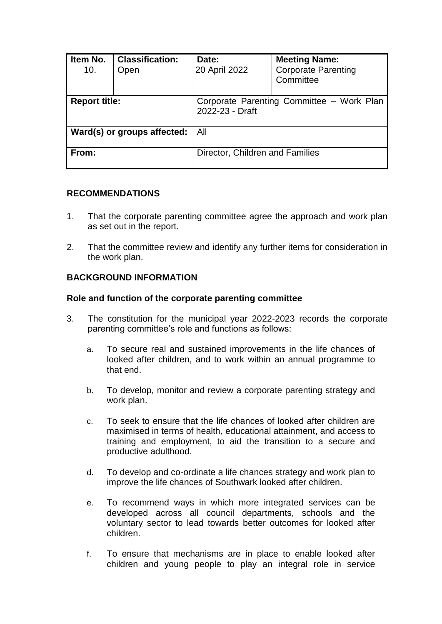| Item No.<br>10.             | <b>Classification:</b><br>Open | Date:<br>20 April 2022                                       | <b>Meeting Name:</b><br><b>Corporate Parenting</b><br>Committee |
|-----------------------------|--------------------------------|--------------------------------------------------------------|-----------------------------------------------------------------|
| <b>Report title:</b>        |                                | Corporate Parenting Committee - Work Plan<br>2022-23 - Draft |                                                                 |
| Ward(s) or groups affected: |                                | All                                                          |                                                                 |
| From:                       |                                | Director, Children and Families                              |                                                                 |

### **RECOMMENDATIONS**

- 1. That the corporate parenting committee agree the approach and work plan as set out in the report.
- 2. That the committee review and identify any further items for consideration in the work plan.

### **BACKGROUND INFORMATION**

#### **Role and function of the corporate parenting committee**

- 3. The constitution for the municipal year 2022-2023 records the corporate parenting committee's role and functions as follows:
	- a. To secure real and sustained improvements in the life chances of looked after children, and to work within an annual programme to that end.
	- b. To develop, monitor and review a corporate parenting strategy and work plan.
	- c. To seek to ensure that the life chances of looked after children are maximised in terms of health, educational attainment, and access to training and employment, to aid the transition to a secure and productive adulthood.
	- d. To develop and co-ordinate a life chances strategy and work plan to improve the life chances of Southwark looked after children.
	- e. To recommend ways in which more integrated services can be developed across all council departments, schools and the voluntary sector to lead towards better outcomes for looked after children.
	- f. To ensure that mechanisms are in place to enable looked after children and young people to play an integral role in service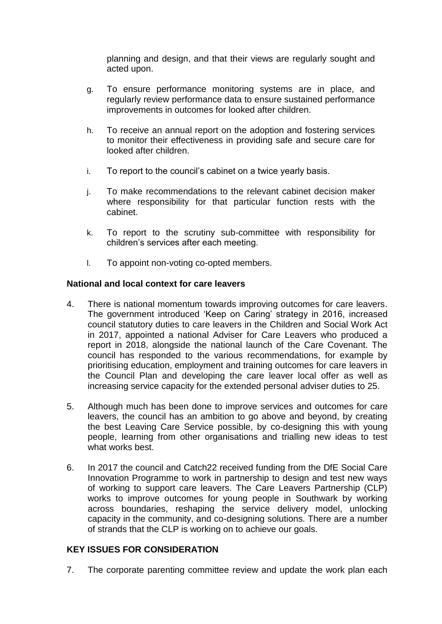planning and design, and that their views are regularly sought and acted upon.

- g. To ensure performance monitoring systems are in place, and regularly review performance data to ensure sustained performance improvements in outcomes for looked after children.
- h. To receive an annual report on the adoption and fostering services to monitor their effectiveness in providing safe and secure care for looked after children.
- i. To report to the council's cabinet on a twice yearly basis.
- j. To make recommendations to the relevant cabinet decision maker where responsibility for that particular function rests with the cabinet.
- k. To report to the scrutiny sub-committee with responsibility for children's services after each meeting.
- l. To appoint non-voting co-opted members.

#### **National and local context for care leavers**

- 4. There is national momentum towards improving outcomes for care leavers. The government introduced 'Keep on Caring' strategy in 2016, increased council statutory duties to care leavers in the Children and Social Work Act in 2017, appointed a national Adviser for Care Leavers who produced a report in 2018, alongside the national launch of the Care Covenant. The council has responded to the various recommendations, for example by prioritising education, employment and training outcomes for care leavers in the Council Plan and developing the care leaver local offer as well as increasing service capacity for the extended personal adviser duties to 25.
- 5. Although much has been done to improve services and outcomes for care leavers, the council has an ambition to go above and beyond, by creating the best Leaving Care Service possible, by co-designing this with young people, learning from other organisations and trialling new ideas to test what works best.
- 6. In 2017 the council and Catch22 received funding from the DfE Social Care Innovation Programme to work in partnership to design and test new ways of working to support care leavers. The Care Leavers Partnership (CLP) works to improve outcomes for young people in Southwark by working across boundaries, reshaping the service delivery model, unlocking capacity in the community, and co-designing solutions. There are a number of strands that the CLP is working on to achieve our goals.

#### **KEY ISSUES FOR CONSIDERATION**

7. The corporate parenting committee review and update the work plan each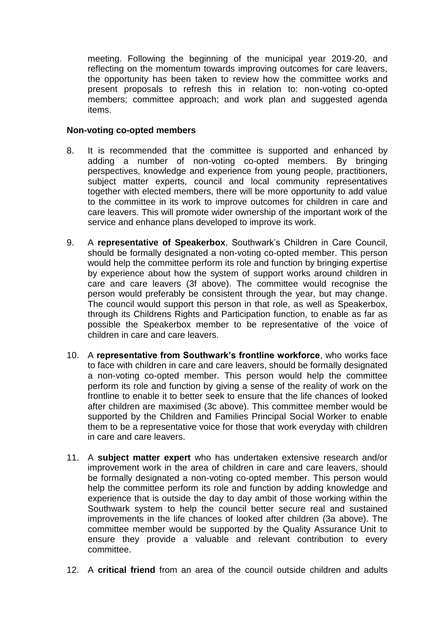meeting. Following the beginning of the municipal year 2019-20, and reflecting on the momentum towards improving outcomes for care leavers, the opportunity has been taken to review how the committee works and present proposals to refresh this in relation to: non-voting co-opted members; committee approach; and work plan and suggested agenda items.

### **Non-voting co-opted members**

- 8. It is recommended that the committee is supported and enhanced by adding a number of non-voting co-opted members. By bringing perspectives, knowledge and experience from young people, practitioners, subject matter experts, council and local community representatives together with elected members, there will be more opportunity to add value to the committee in its work to improve outcomes for children in care and care leavers. This will promote wider ownership of the important work of the service and enhance plans developed to improve its work.
- 9. A **representative of Speakerbox**, Southwark's Children in Care Council, should be formally designated a non-voting co-opted member. This person would help the committee perform its role and function by bringing expertise by experience about how the system of support works around children in care and care leavers (3f above). The committee would recognise the person would preferably be consistent through the year, but may change. The council would support this person in that role, as well as Speakerbox, through its Childrens Rights and Participation function, to enable as far as possible the Speakerbox member to be representative of the voice of children in care and care leavers.
- 10. A **representative from Southwark's frontline workforce**, who works face to face with children in care and care leavers, should be formally designated a non-voting co-opted member. This person would help the committee perform its role and function by giving a sense of the reality of work on the frontline to enable it to better seek to ensure that the life chances of looked after children are maximised (3c above). This committee member would be supported by the Children and Families Principal Social Worker to enable them to be a representative voice for those that work everyday with children in care and care leavers.
- 11. A **subject matter expert** who has undertaken extensive research and/or improvement work in the area of children in care and care leavers, should be formally designated a non-voting co-opted member. This person would help the committee perform its role and function by adding knowledge and experience that is outside the day to day ambit of those working within the Southwark system to help the council better secure real and sustained improvements in the life chances of looked after children (3a above). The committee member would be supported by the Quality Assurance Unit to ensure they provide a valuable and relevant contribution to every committee.
- 12. A **critical friend** from an area of the council outside children and adults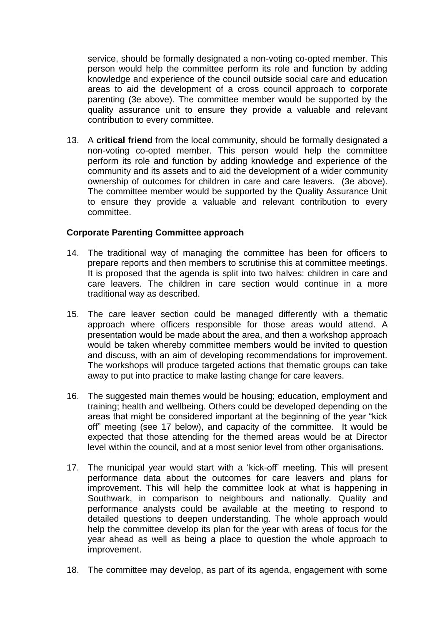service, should be formally designated a non-voting co-opted member. This person would help the committee perform its role and function by adding knowledge and experience of the council outside social care and education areas to aid the development of a cross council approach to corporate parenting (3e above). The committee member would be supported by the quality assurance unit to ensure they provide a valuable and relevant contribution to every committee.

13. A **critical friend** from the local community, should be formally designated a non-voting co-opted member. This person would help the committee perform its role and function by adding knowledge and experience of the community and its assets and to aid the development of a wider community ownership of outcomes for children in care and care leavers. (3e above). The committee member would be supported by the Quality Assurance Unit to ensure they provide a valuable and relevant contribution to every committee.

# **Corporate Parenting Committee approach**

- 14. The traditional way of managing the committee has been for officers to prepare reports and then members to scrutinise this at committee meetings. It is proposed that the agenda is split into two halves: children in care and care leavers. The children in care section would continue in a more traditional way as described.
- 15. The care leaver section could be managed differently with a thematic approach where officers responsible for those areas would attend. A presentation would be made about the area, and then a workshop approach would be taken whereby committee members would be invited to question and discuss, with an aim of developing recommendations for improvement. The workshops will produce targeted actions that thematic groups can take away to put into practice to make lasting change for care leavers.
- 16. The suggested main themes would be housing; education, employment and training; health and wellbeing. Others could be developed depending on the areas that might be considered important at the beginning of the year "kick off" meeting (see 17 below), and capacity of the committee. It would be expected that those attending for the themed areas would be at Director level within the council, and at a most senior level from other organisations.
- 17. The municipal year would start with a 'kick-off' meeting. This will present performance data about the outcomes for care leavers and plans for improvement. This will help the committee look at what is happening in Southwark, in comparison to neighbours and nationally. Quality and performance analysts could be available at the meeting to respond to detailed questions to deepen understanding. The whole approach would help the committee develop its plan for the year with areas of focus for the year ahead as well as being a place to question the whole approach to improvement.
- 18. The committee may develop, as part of its agenda, engagement with some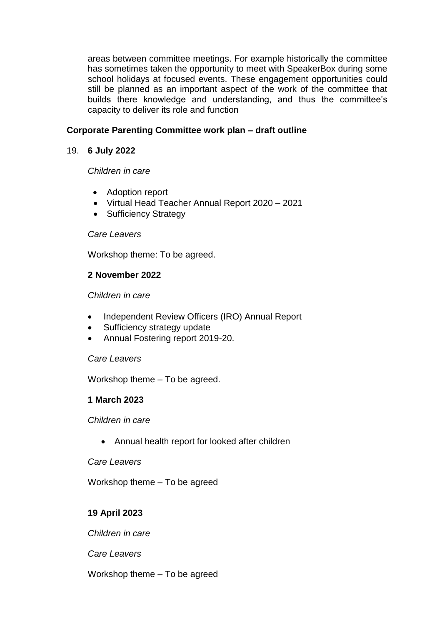areas between committee meetings. For example historically the committee has sometimes taken the opportunity to meet with SpeakerBox during some school holidays at focused events. These engagement opportunities could still be planned as an important aspect of the work of the committee that builds there knowledge and understanding, and thus the committee's capacity to deliver its role and function

# **Corporate Parenting Committee work plan – draft outline**

## 19. **6 July 2022**

*Children in care*

- Adoption report
- Virtual Head Teacher Annual Report 2020 2021
- Sufficiency Strategy

#### *Care Leavers*

Workshop theme: To be agreed.

# **2 November 2022**

#### *Children in care*

- Independent Review Officers (IRO) Annual Report
- Sufficiency strategy update
- Annual Fostering report 2019-20.

#### *Care Leavers*

Workshop theme – To be agreed.

### **1 March 2023**

*Children in care*

Annual health report for looked after children

#### *Care Leavers*

Workshop theme – To be agreed

# **19 April 2023**

*Children in care*

*Care Leavers*

Workshop theme – To be agreed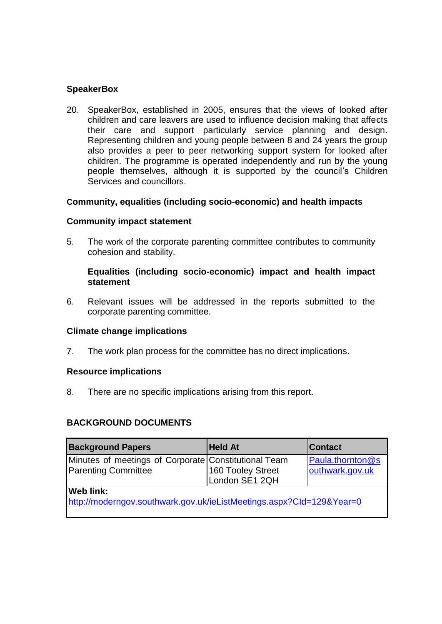# **SpeakerBox**

20. SpeakerBox, established in 2005, ensures that the views of looked after children and care leavers are used to influence decision making that affects their care and support particularly service planning and design. Representing children and young people between 8 and 24 years the group also provides a peer to peer networking support system for looked after children. The programme is operated independently and run by the young people themselves, although it is supported by the council's Children Services and councillors.

### **Community, equalities (including socio-economic) and health impacts**

#### **Community impact statement**

5. The work of the corporate parenting committee contributes to community cohesion and stability.

### **Equalities (including socio-economic) impact and health impact statement**

6. Relevant issues will be addressed in the reports submitted to the corporate parenting committee.

#### **Climate change implications**

7. The work plan process for the committee has no direct implications.

#### **Resource implications**

8. There are no specific implications arising from this report.

### **BACKGROUND DOCUMENTS**

| <b>Background Papers</b>                                                                 | <b>Held At</b>                      | <b>Contact</b>                      |  |  |  |
|------------------------------------------------------------------------------------------|-------------------------------------|-------------------------------------|--|--|--|
| Minutes of meetings of Corporate Constitutional Team<br><b>Parenting Committee</b>       | 160 Tooley Street<br>London SE1 2QH | Paula.thornton@s<br>outhwark.gov.uk |  |  |  |
| <b>Web link:</b><br>http://moderngov.southwark.gov.uk/ieListMeetings.aspx?Cld=129&Year=0 |                                     |                                     |  |  |  |